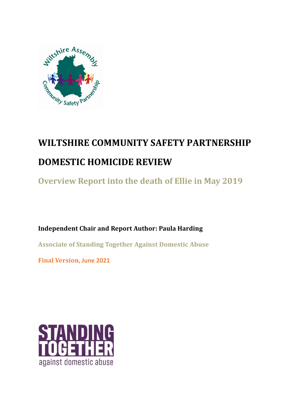

# **WILTSHIRE COMMUNITY SAFETY PARTNERSHIP DOMESTIC HOMICIDE REVIEW**

**Overview Report into the death of Ellie in May 2019** 

**Independent Chair and Report Author: Paula Harding**

**Associate of Standing Together Against Domestic Abuse**

**Final Version, June 2021**

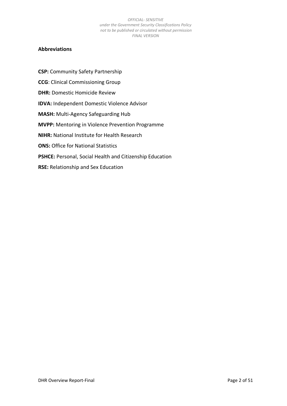### <span id="page-1-0"></span>**Abbreviations**

**CSP:** Community Safety Partnership **CCG**: Clinical Commissioning Group **DHR: Domestic Homicide Review IDVA:** Independent Domestic Violence Advisor **MASH:** Multi-Agency Safeguarding Hub **MVPP:** Mentoring in Violence Prevention Programme **NIHR:** National Institute for Health Research **ONS: Office for National Statistics PSHCE:** Personal, Social Health and Citizenship Education **RSE:** Relationship and Sex Education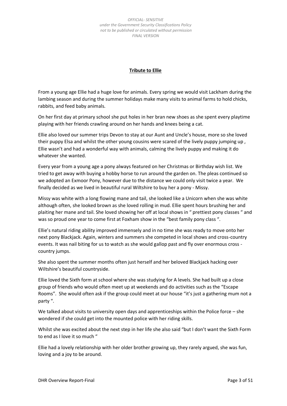### **Tribute to Ellie**

<span id="page-2-0"></span>From a young age Ellie had a huge love for animals. Every spring we would visit Lackham during the lambing season and during the summer holidays make many visits to animal farms to hold chicks, rabbits, and feed baby animals.

On her first day at primary school she put holes in her bran new shoes as she spent every playtime playing with her friends crawling around on her hands and knees being a cat.

Ellie also loved our summer trips Devon to stay at our Aunt and Uncle's house, more so she loved their puppy Elsa and whilst the other young cousins were scared of the lively puppy jumping up , Ellie wasn't and had a wonderful way with animals, calming the lively puppy and making it do whatever she wanted.

Every year from a young age a pony always featured on her Christmas or Birthday wish list. We tried to get away with buying a hobby horse to run around the garden on. The pleas continued so we adopted an Exmoor Pony, however due to the distance we could only visit twice a year. We finally decided as we lived in beautiful rural Wiltshire to buy her a pony - Missy.

Missy was white with a long flowing mane and tail, she looked like a Unicorn when she was white although often, she looked brown as she loved rolling in mud. Ellie spent hours brushing her and plaiting her mane and tail. She loved showing her off at local shows in " prettiest pony classes " and was so proud one year to come first at Foxham show in the "best family pony class ".

Ellie's natural riding ability improved immensely and in no time she was ready to move onto her next pony Blackjack. Again, winters and summers she competed in local shows and cross-country events. It was nail biting for us to watch as she would gallop past and fly over enormous cross country jumps.

She also spent the summer months often just herself and her beloved Blackjack hacking over Wiltshire's beautiful countryside.

Ellie loved the Sixth form at school where she was studying for A levels. She had built up a close group of friends who would often meet up at weekends and do activities such as the "Escape Rooms". She would often ask if the group could meet at our house "it's just a gathering mum not a party ".

We talked about visits to university open days and apprenticeships within the Police force – she wondered if she could get into the mounted police with her riding skills.

Whilst she was excited about the next step in her life she also said "but I don't want the Sixth Form to end as I love it so much "

Ellie had a lovely relationship with her older brother growing up, they rarely argued, she was fun, loving and a joy to be around.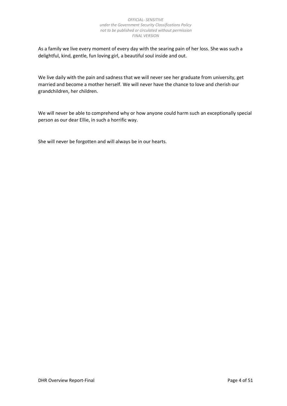As a family we live every moment of every day with the searing pain of her loss. She was such a delightful, kind, gentle, fun loving girl, a beautiful soul inside and out.

We live daily with the pain and sadness that we will never see her graduate from university, get married and become a mother herself. We will never have the chance to love and cherish our grandchildren, her children.

We will never be able to comprehend why or how anyone could harm such an exceptionally special person as our dear Ellie, in such a horrific way.

She will never be forgotten and will always be in our hearts.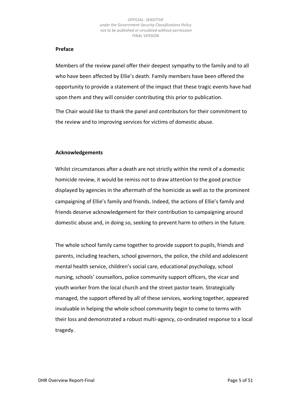### **Preface**

Members of the review panel offer their deepest sympathy to the family and to all who have been affected by Ellie's death. Family members have been offered the opportunity to provide a statement of the impact that these tragic events have had upon them and they will consider contributing this prior to publication.

The Chair would like to thank the panel and contributors for their commitment to the review and to improving services for victims of domestic abuse.

### <span id="page-4-0"></span>**Acknowledgements**

Whilst circumstances after a death are not strictly within the remit of a domestic homicide review, it would be remiss not to draw attention to the good practice displayed by agencies in the aftermath of the homicide as well as to the prominent campaigning of Ellie's family and friends. Indeed, the actions of Ellie's family and friends deserve acknowledgement for their contribution to campaigning around domestic abuse and, in doing so, seeking to prevent harm to others in the future.

The whole school family came together to provide support to pupils, friends and parents, including teachers, school governors, the police, the child and adolescent mental health service, children's social care, educational psychology, school nursing, schools' counsellors, police community support officers, the vicar and youth worker from the local church and the street pastor team. Strategically managed, the support offered by all of these services, working together, appeared invaluable in helping the whole school community begin to come to terms with their loss and demonstrated a robust multi-agency, co-ordinated response to a local tragedy.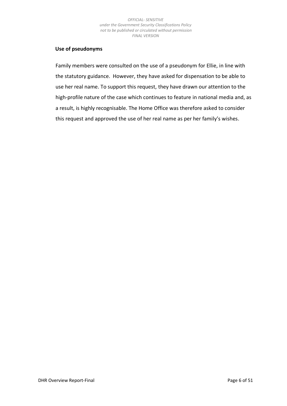## <span id="page-5-0"></span>**Use of pseudonyms**

Family members were consulted on the use of a pseudonym for Ellie, in line with the statutory guidance. However, they have asked for dispensation to be able to use her real name. To support this request, they have drawn our attention to the high-profile nature of the case which continues to feature in national media and, as a result, is highly recognisable. The Home Office was therefore asked to consider this request and approved the use of her real name as per her family's wishes.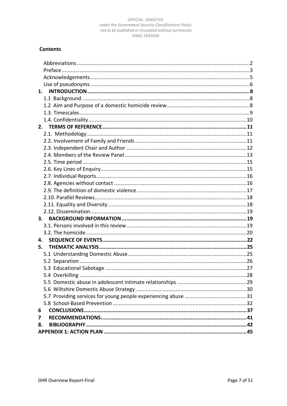# **Contents**

| 1. |  |
|----|--|
|    |  |
|    |  |
|    |  |
|    |  |
| 2. |  |
|    |  |
|    |  |
|    |  |
|    |  |
|    |  |
|    |  |
|    |  |
|    |  |
|    |  |
|    |  |
|    |  |
|    |  |
| 3. |  |
|    |  |
|    |  |
| 4. |  |
| 5. |  |
|    |  |
|    |  |
|    |  |
|    |  |
|    |  |
|    |  |
|    |  |
|    |  |
| 6  |  |
| 7  |  |
| 8. |  |
|    |  |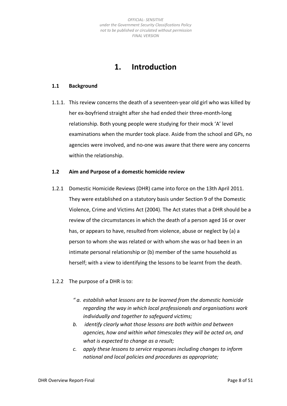# **1. Introduction**

### <span id="page-7-1"></span><span id="page-7-0"></span>**1.1 Background**

1.1.1. This review concerns the death of a seventeen-year old girl who was killed by her ex-boyfriend straight after she had ended their three-month-long relationship. Both young people were studying for their mock 'A' level examinations when the murder took place. Aside from the school and GPs, no agencies were involved, and no-one was aware that there were any concerns within the relationship.

### <span id="page-7-2"></span>**1.2 Aim and Purpose of a domestic homicide review**

- 1.2.1 Domestic Homicide Reviews (DHR) came into force on the 13th April 2011. They were established on a statutory basis under Section 9 of the Domestic Violence, Crime and Victims Act (2004). The Act states that a DHR should be a review of the circumstances in which the death of a person aged 16 or over has, or appears to have, resulted from violence, abuse or neglect by (a) a person to whom she was related or with whom she was or had been in an intimate personal relationship or (b) member of the same household as herself; with a view to identifying the lessons to be learnt from the death.
- 1.2.2 The purpose of a DHR is to:
	- *" a. establish what lessons are to be learned from the domestic homicide regarding the way in which local professionals and organisations work individually and together to safeguard victims;*
	- *b. identify clearly what those lessons are both within and between agencies, how and within what timescales they will be acted on, and what is expected to change as a result;*
	- *c. apply these lessons to service responses including changes to inform national and local policies and procedures as appropriate;*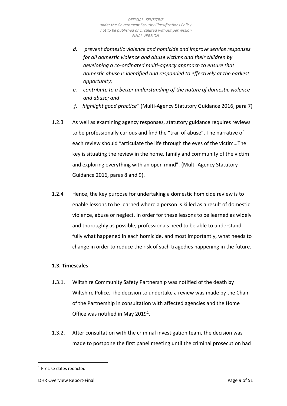- *d. prevent domestic violence and homicide and improve service responses for all domestic violence and abuse victims and their children by developing a co-ordinated multi-agency approach to ensure that domestic abuse is identified and responded to effectively at the earliest opportunity;*
- *e. contribute to a better understanding of the nature of domestic violence and abuse; and*
- *f. highlight good practice"* (Multi-Agency Statutory Guidance 2016, para 7)
- 1.2.3 As well as examining agency responses, statutory guidance requires reviews to be professionally curious and find the "trail of abuse". The narrative of each review should "articulate the life through the eyes of the victim…The key is situating the review in the home, family and community of the victim and exploring everything with an open mind". (Multi-Agency Statutory Guidance 2016, paras 8 and 9).
- 1.2.4 Hence, the key purpose for undertaking a domestic homicide review is to enable lessons to be learned where a person is killed as a result of domestic violence, abuse or neglect. In order for these lessons to be learned as widely and thoroughly as possible, professionals need to be able to understand fully what happened in each homicide, and most importantly, what needs to change in order to reduce the risk of such tragedies happening in the future.

## <span id="page-8-0"></span>**1.3. Timescales**

- 1.3.1. Wiltshire Community Safety Partnership was notified of the death by Wiltshire Police. The decision to undertake a review was made by the Chair of the Partnership in consultation with affected agencies and the Home Office was notified in May 2019<sup>1</sup>.
- 1.3.2. After consultation with the criminal investigation team, the decision was made to postpone the first panel meeting until the criminal prosecution had

<sup>&</sup>lt;sup>1</sup> Precise dates redacted.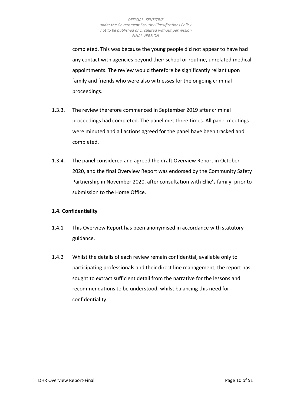completed. This was because the young people did not appear to have had any contact with agencies beyond their school or routine, unrelated medical appointments. The review would therefore be significantly reliant upon family and friends who were also witnesses for the ongoing criminal proceedings.

- 1.3.3. The review therefore commenced in September 2019 after criminal proceedings had completed. The panel met three times. All panel meetings were minuted and all actions agreed for the panel have been tracked and completed.
- 1.3.4. The panel considered and agreed the draft Overview Report in October 2020, and the final Overview Report was endorsed by the Community Safety Partnership in November 2020, after consultation with Ellie's family, prior to submission to the Home Office.

## <span id="page-9-0"></span>**1.4. Confidentiality**

- 1.4.1 This Overview Report has been anonymised in accordance with statutory guidance.
- 1.4.2 Whilst the details of each review remain confidential, available only to participating professionals and their direct line management, the report has sought to extract sufficient detail from the narrative for the lessons and recommendations to be understood, whilst balancing this need for confidentiality.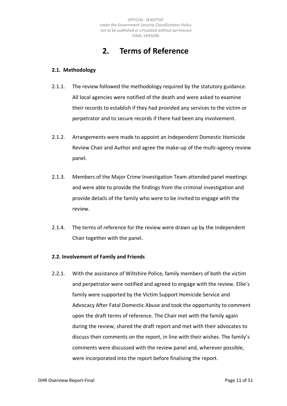# **2. Terms of Reference**

### <span id="page-10-1"></span><span id="page-10-0"></span>**2.1. Methodology**

- 2.1.1. The review followed the methodology required by the statutory guidance. All local agencies were notified of the death and were asked to examine their records to establish if they had provided any services to the victim or perpetrator and to secure records if there had been any involvement.
- 2.1.2. Arrangements were made to appoint an Independent Domestic Homicide Review Chair and Author and agree the make-up of the multi-agency review panel.
- 2.1.3. Members of the Major Crime Investigation Team attended panel meetings and were able to provide the findings from the criminal investigation and provide details of the family who were to be invited to engage with the review.
- 2.1.4. The terms of reference for the review were drawn up by the Independent Chair together with the panel.

## <span id="page-10-2"></span>**2.2. Involvement of Family and Friends**

2.2.1. With the assistance of Wiltshire Police, family members of both the victim and perpetrator were notified and agreed to engage with the review. Ellie's family were supported by the Victim Support Homicide Service and Advocacy After Fatal Domestic Abuse and took the opportunity to comment upon the draft terms of reference. The Chair met with the family again during the review, shared the draft report and met with their advocates to discuss their comments on the report, in line with their wishes. The family's comments were discussed with the review panel and, wherever possible, were incorporated into the report before finalising the report.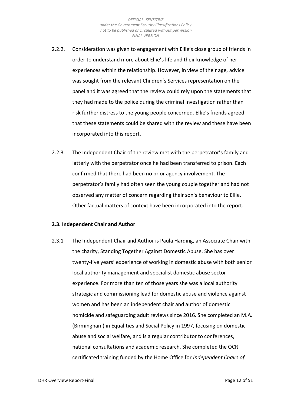- 2.2.2. Consideration was given to engagement with Ellie's close group of friends in order to understand more about Ellie's life and their knowledge of her experiences within the relationship. However, in view of their age, advice was sought from the relevant Children's Services representation on the panel and it was agreed that the review could rely upon the statements that they had made to the police during the criminal investigation rather than risk further distress to the young people concerned. Ellie's friends agreed that these statements could be shared with the review and these have been incorporated into this report.
- 2.2.3. The Independent Chair of the review met with the perpetrator's family and latterly with the perpetrator once he had been transferred to prison. Each confirmed that there had been no prior agency involvement. The perpetrator's family had often seen the young couple together and had not observed any matter of concern regarding their son's behaviour to Ellie. Other factual matters of context have been incorporated into the report.

### <span id="page-11-0"></span>**2.3. Independent Chair and Author**

2.3.1 The Independent Chair and Author is Paula Harding, an Associate Chair with the charity, Standing Together Against Domestic Abuse. She has over twenty-five years' experience of working in domestic abuse with both senior local authority management and specialist domestic abuse sector experience. For more than ten of those years she was a local authority strategic and commissioning lead for domestic abuse and violence against women and has been an independent chair and author of domestic homicide and safeguarding adult reviews since 2016. She completed an M.A. (Birmingham) in Equalities and Social Policy in 1997, focusing on domestic abuse and social welfare, and is a regular contributor to conferences, national consultations and academic research. She completed the OCR certificated training funded by the Home Office for *Independent Chairs of*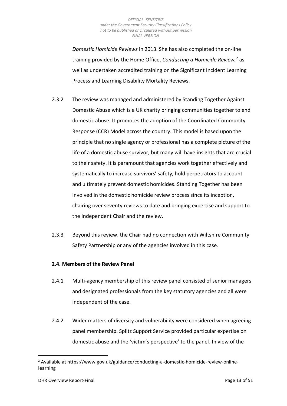*Domestic Homicide Reviews* in 2013. She has also completed the on-line training provided by the Home Office, *Conducting a Homicide Review,*<sup>2</sup> as well as undertaken accredited training on the Significant Incident Learning Process and Learning Disability Mortality Reviews.

- 2.3.2 The review was managed and administered by Standing Together Against Domestic Abuse which is a UK charity bringing communities together to end domestic abuse. It promotes the adoption of the Coordinated Community Response (CCR) Model across the country. This model is based upon the principle that no single agency or professional has a complete picture of the life of a domestic abuse survivor, but many will have insights that are crucial to their safety. It is paramount that agencies work together effectively and systematically to increase survivors' safety, hold perpetrators to account and ultimately prevent domestic homicides. Standing Together has been involved in the domestic homicide review process since its inception, chairing over seventy reviews to date and bringing expertise and support to the Independent Chair and the review.
- 2.3.3 Beyond this review, the Chair had no connection with Wiltshire Community Safety Partnership or any of the agencies involved in this case.

## <span id="page-12-0"></span>**2.4. Members of the Review Panel**

- 2.4.1 Multi-agency membership of this review panel consisted of senior managers and designated professionals from the key statutory agencies and all were independent of the case.
- 2.4.2 Wider matters of diversity and vulnerability were considered when agreeing panel membership. Splitz Support Service provided particular expertise on domestic abuse and the 'victim's perspective' to the panel. In view of the

<sup>&</sup>lt;sup>2</sup> Available at https://www.gov.uk/guidance/conducting-a-domestic-homicide-review-onlinelearning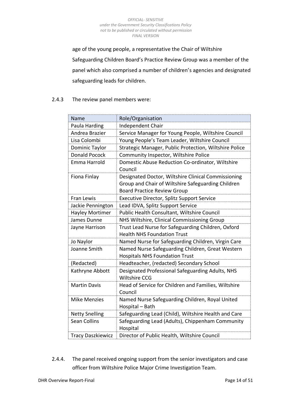age of the young people, a representative the Chair of Wiltshire Safeguarding Children Board's Practice Review Group was a member of the panel which also comprised a number of children's agencies and designated safeguarding leads for children.

# 2.4.3 The review panel members were:

| Name                     | Role/Organisation                                                                         |
|--------------------------|-------------------------------------------------------------------------------------------|
| Paula Harding            | Independent Chair                                                                         |
| Andrea Brazier           | Service Manager for Young People, Wiltshire Council                                       |
| Lisa Colombi             | Young People's Team Leader, Wiltshire Council                                             |
| Dominic Taylor           | Strategic Manager, Public Protection, Wiltshire Police                                    |
| <b>Donald Pocock</b>     | Community Inspector, Wiltshire Police                                                     |
| Emma Harrold             | Domestic Abuse Reduction Co-ordinator, Wiltshire<br>Council                               |
| Fiona Finlay             | Designated Doctor, Wiltshire Clinical Commissioning                                       |
|                          | Group and Chair of Wiltshire Safeguarding Children                                        |
|                          | <b>Board Practice Review Group</b>                                                        |
| <b>Fran Lewis</b>        | Executive Director, Splitz Support Service                                                |
| Jackie Pennington        | Lead IDVA, Splitz Support Service                                                         |
| <b>Hayley Mortimer</b>   | Public Health Consultant, Wiltshire Council                                               |
| James Dunne              | NHS Wiltshire, Clinical Commissioning Group                                               |
| Jayne Harrison           | Trust Lead Nurse for Safeguarding Children, Oxford<br><b>Health NHS Foundation Trust</b>  |
| Jo Naylor                | Named Nurse for Safeguarding Children, Virgin Care                                        |
| Joanne Smith             | Named Nurse Safeguarding Children, Great Western<br><b>Hospitals NHS Foundation Trust</b> |
| (Redacted)               | Headteacher, (redacted) Secondary School                                                  |
| Kathryne Abbott          | Designated Professional Safeguarding Adults, NHS<br><b>Wiltshire CCG</b>                  |
| <b>Martin Davis</b>      | Head of Service for Children and Families, Wiltshire<br>Council                           |
| <b>Mike Menzies</b>      | Named Nurse Safeguarding Children, Royal United<br>Hospital - Bath                        |
| <b>Netty Snelling</b>    | Safeguarding Lead (Child), Wiltshire Health and Care                                      |
| <b>Sean Collins</b>      | Safeguarding Lead (Adults), Chippenham Community<br>Hospital                              |
| <b>Tracy Daszkiewicz</b> | Director of Public Health, Wiltshire Council                                              |

2.4.4. The panel received ongoing support from the senior investigators and case officer from Wiltshire Police Major Crime Investigation Team.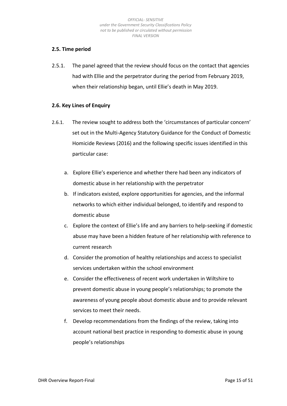## <span id="page-14-0"></span>**2.5. Time period**

2.5.1. The panel agreed that the review should focus on the contact that agencies had with Ellie and the perpetrator during the period from February 2019, when their relationship began, until Ellie's death in May 2019.

### <span id="page-14-1"></span>**2.6. Key Lines of Enquiry**

- 2.6.1. The review sought to address both the 'circumstances of particular concern' set out in the Multi-Agency Statutory Guidance for the Conduct of Domestic Homicide Reviews (2016) and the following specific issues identified in this particular case:
	- a. Explore Ellie's experience and whether there had been any indicators of domestic abuse in her relationship with the perpetrator
	- b. If indicators existed, explore opportunities for agencies, and the informal networks to which either individual belonged, to identify and respond to domestic abuse
	- c. Explore the context of Ellie's life and any barriers to help-seeking if domestic abuse may have been a hidden feature of her relationship with reference to current research
	- d. Consider the promotion of healthy relationships and access to specialist services undertaken within the school environment
	- e. Consider the effectiveness of recent work undertaken in Wiltshire to prevent domestic abuse in young people's relationships; to promote the awareness of young people about domestic abuse and to provide relevant services to meet their needs.
	- f. Develop recommendations from the findings of the review, taking into account national best practice in responding to domestic abuse in young people's relationships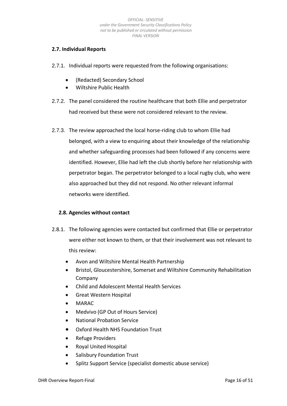# <span id="page-15-0"></span>**2.7. Individual Reports**

- 2.7.1. Individual reports were requested from the following organisations:
	- (Redacted) Secondary School
	- Wiltshire Public Health
- 2.7.2. The panel considered the routine healthcare that both Ellie and perpetrator had received but these were not considered relevant to the review.
- 2.7.3. The review approached the local horse-riding club to whom Ellie had belonged, with a view to enquiring about their knowledge of the relationship and whether safeguarding processes had been followed if any concerns were identified. However, Ellie had left the club shortly before her relationship with perpetrator began. The perpetrator belonged to a local rugby club, who were also approached but they did not respond. No other relevant informal networks were identified.

## <span id="page-15-1"></span>**2.8. Agencies without contact**

- 2.8.1. The following agencies were contacted but confirmed that Ellie or perpetrator were either not known to them, or that their involvement was not relevant to this review:
	- Avon and Wiltshire Mental Health Partnership
	- Bristol, Gloucestershire, Somerset and Wiltshire Community Rehabilitation Company
	- Child and Adolescent Mental Health Services
	- Great Western Hospital
	- MARAC
	- Medvivo (GP Out of Hours Service)
	- National Probation Service
	- Oxford Health NHS Foundation Trust
	- Refuge Providers
	- Royal United Hospital
	- Salisbury Foundation Trust
	- Splitz Support Service (specialist domestic abuse service)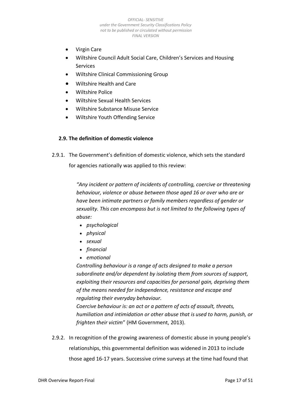- Virgin Care
- Wiltshire Council Adult Social Care, Children's Services and Housing **Services**
- Wiltshire Clinical Commissioning Group
- Wiltshire Health and Care
- Wiltshire Police
- Wiltshire Sexual Health Services
- Wiltshire Substance Misuse Service
- Wiltshire Youth Offending Service

## <span id="page-16-0"></span>**2.9. The definition of domestic violence**

2.9.1. The Government's definition of domestic violence, which sets the standard for agencies nationally was applied to this review:

> *"Any incident or pattern of incidents of controlling, coercive or threatening behaviour, violence or abuse between those aged 16 or over who are or have been intimate partners or family members regardless of gender or sexuality. This can encompass but is not limited to the following types of abuse:*

- *psychological*
- *physical*
- *sexual*
- *financial*
- *emotional*

*Controlling behaviour is a range of acts designed to make a person subordinate and/or dependent by isolating them from sources of support, exploiting their resources and capacities for personal gain, depriving them of the means needed for independence, resistance and escape and regulating their everyday behaviour.*

*Coercive behaviour is: an act or a pattern of acts of assault, threats, humiliation and intimidation or other abuse that is used to harm, punish, or frighten their victim*" (HM Government, 2013).

2.9.2. In recognition of the growing awareness of domestic abuse in young people's relationships, this governmental definition was widened in 2013 to include those aged 16-17 years. Successive crime surveys at the time had found that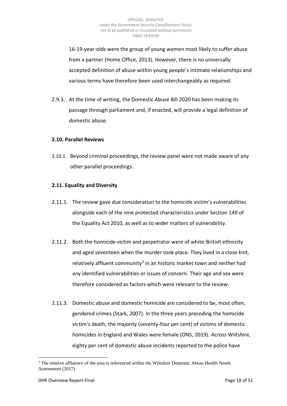16-19-year-olds were the group of young women most likely to suffer abuse from a partner (Home Office, 2013). However, there is no universally accepted definition of abuse within young people's intimate relationships and various terms have therefore been used interchangeably as required.

2.9.3. At the time of writing, the Domestic Abuse Bill 2020 has been making its passage through parliament and, if enacted, will provide a legal definition of domestic abuse.

### <span id="page-17-0"></span>**2.10. Parallel Reviews**

2.10.1. Beyond criminal proceedings, the review panel were not made aware of any other parallel proceedings.

### <span id="page-17-1"></span>**2.11. Equality and Diversity**

- 2.11.1. The review gave due consideration to the homicide victim's vulnerabilities alongside each of the nine protected characteristics under Section 149 of the Equality Act 2010, as well as to wider matters of vulnerability.
- 2.11.2. Both the homicide victim and perpetrator were of white-British ethnicity and aged seventeen when the murder took place. They lived in a close knit, relatively affluent community<sup>3</sup> in an historic market town and neither had any identified vulnerabilities or issues of concern. Their age and sex were therefore considered as factors which were relevant to the review.
- 2.11.3. Domestic abuse and domestic homicide are considered to be, most often, gendered crimes (Stark, 2007). In the three years preceding the homicide victim's death, the majority (seventy-four per cent) of victims of domestic homicides in England and Wales were female (ONS, 2019). Across Wiltshire, eighty per cent of domestic abuse incidents reported to the police have

 $3$  The relative affluence of the area is referenced within the Wiltshire Domestic Abuse Health Needs Assessment (2017)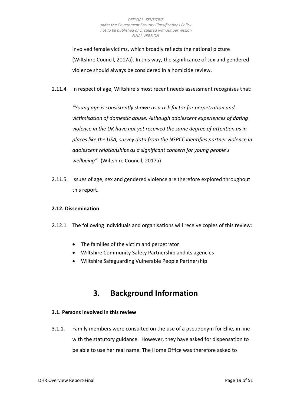involved female victims, which broadly reflects the national picture (Wiltshire Council, 2017a). In this way, the significance of sex and gendered violence should always be considered in a homicide review.

2.11.4. In respect of age, Wiltshire's most recent needs assessment recognises that:

*"Young age is consistently shown as a risk factor for perpetration and victimisation of domestic abuse. Although adolescent experiences of dating violence in the UK have not yet received the same degree of attention as in places like the USA, survey data from the NSPCC identifies partner violence in adolescent relationships as a significant concern for young people's wellbeing".* (Wiltshire Council, 2017a)

2.11.5. Issues of age, sex and gendered violence are therefore explored throughout this report.

## <span id="page-18-0"></span>**2.12. Dissemination**

- 2.12.1. The following individuals and organisations will receive copies of this review:
	- The families of the victim and perpetrator
	- Wiltshire Community Safety Partnership and its agencies
	- Wiltshire Safeguarding Vulnerable People Partnership

# **3. Background Information**

## <span id="page-18-2"></span><span id="page-18-1"></span>**3.1. Persons involved in this review**

3.1.1. Family members were consulted on the use of a pseudonym for Ellie, in line with the statutory guidance. However, they have asked for dispensation to be able to use her real name. The Home Office was therefore asked to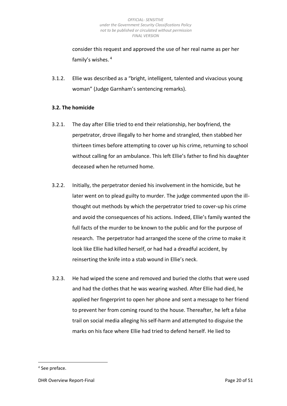consider this request and approved the use of her real name as per her family's wishes. <sup>4</sup>

3.1.2. Ellie was described as a "bright, intelligent, talented and vivacious young woman" (Judge Garnham's sentencing remarks).

# <span id="page-19-0"></span>**3.2. The homicide**

- 3.2.1. The day after Ellie tried to end their relationship, her boyfriend, the perpetrator, drove illegally to her home and strangled, then stabbed her thirteen times before attempting to cover up his crime, returning to school without calling for an ambulance. This left Ellie's father to find his daughter deceased when he returned home.
- 3.2.2. Initially, the perpetrator denied his involvement in the homicide, but he later went on to plead guilty to murder. The judge commented upon the illthought out methods by which the perpetrator tried to cover-up his crime and avoid the consequences of his actions. Indeed, Ellie's family wanted the full facts of the murder to be known to the public and for the purpose of research. The perpetrator had arranged the scene of the crime to make it look like Ellie had killed herself, or had had a dreadful accident, by reinserting the knife into a stab wound in Ellie's neck.
- 3.2.3. He had wiped the scene and removed and buried the cloths that were used and had the clothes that he was wearing washed. After Ellie had died, he applied her fingerprint to open her phone and sent a message to her friend to prevent her from coming round to the house. Thereafter, he left a false trail on social media alleging his self-harm and attempted to disguise the marks on his face where Ellie had tried to defend herself. He lied to

<sup>&</sup>lt;sup>4</sup> See preface.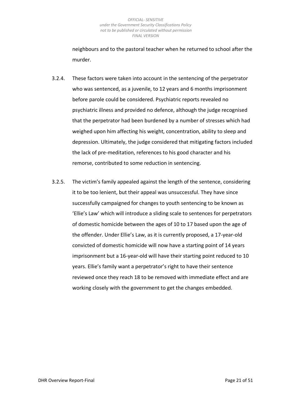neighbours and to the pastoral teacher when he returned to school after the murder.

- 3.2.4. These factors were taken into account in the sentencing of the perpetrator who was sentenced, as a juvenile, to 12 years and 6 months imprisonment before parole could be considered. Psychiatric reports revealed no psychiatric illness and provided no defence, although the judge recognised that the perpetrator had been burdened by a number of stresses which had weighed upon him affecting his weight, concentration, ability to sleep and depression. Ultimately, the judge considered that mitigating factors included the lack of pre-meditation, references to his good character and his remorse, contributed to some reduction in sentencing.
- <span id="page-20-0"></span>3.2.5. The victim's family appealed against the length of the sentence, considering it to be too lenient, but their appeal was unsuccessful. They have since successfully campaigned for changes to youth sentencing to be known as 'Ellie's Law' which will introduce a sliding scale to sentences for perpetrators of domestic homicide between the ages of 10 to 17 based upon the age of the offender. Under Ellie's Law, as it is currently proposed, a 17-year-old convicted of domestic homicide will now have a starting point of 14 years imprisonment but a 16-year-old will have their starting point reduced to 10 years. Ellie's family want a perpetrator's right to have their sentence reviewed once they reach 18 to be removed with immediate effect and are working closely with the government to get the changes embedded.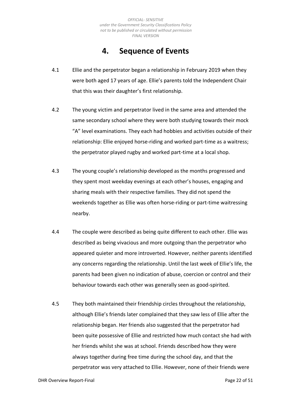# **4. Sequence of Events**

- 4.1 Ellie and the perpetrator began a relationship in February 2019 when they were both aged 17 years of age. Ellie's parents told the Independent Chair that this was their daughter's first relationship.
- 4.2 The young victim and perpetrator lived in the same area and attended the same secondary school where they were both studying towards their mock "A" level examinations. They each had hobbies and activities outside of their relationship: Ellie enjoyed horse-riding and worked part-time as a waitress; the perpetrator played rugby and worked part-time at a local shop.
- 4.3 The young couple's relationship developed as the months progressed and they spent most weekday evenings at each other's houses, engaging and sharing meals with their respective families. They did not spend the weekends together as Ellie was often horse-riding or part-time waitressing nearby.
- 4.4 The couple were described as being quite different to each other. Ellie was described as being vivacious and more outgoing than the perpetrator who appeared quieter and more introverted. However, neither parents identified any concerns regarding the relationship. Until the last week of Ellie's life, the parents had been given no indication of abuse, coercion or control and their behaviour towards each other was generally seen as good-spirited.
- 4.5 They both maintained their friendship circles throughout the relationship, although Ellie's friends later complained that they saw less of Ellie after the relationship began. Her friends also suggested that the perpetrator had been quite possessive of Ellie and restricted how much contact she had with her friends whilst she was at school. Friends described how they were always together during free time during the school day, and that the perpetrator was very attached to Ellie. However, none of their friends were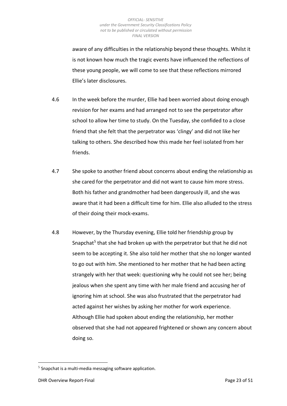aware of any difficulties in the relationship beyond these thoughts. Whilst it is not known how much the tragic events have influenced the reflections of these young people, we will come to see that these reflections mirrored Ellie's later disclosures.

- 4.6 In the week before the murder, Ellie had been worried about doing enough revision for her exams and had arranged not to see the perpetrator after school to allow her time to study. On the Tuesday, she confided to a close friend that she felt that the perpetrator was 'clingy' and did not like her talking to others. She described how this made her feel isolated from her friends.
- 4.7 She spoke to another friend about concerns about ending the relationship as she cared for the perpetrator and did not want to cause him more stress. Both his father and grandmother had been dangerously ill, and she was aware that it had been a difficult time for him. Ellie also alluded to the stress of their doing their mock-exams.
- 4.8 However, by the Thursday evening, Ellie told her friendship group by Snapchat<sup>5</sup> that she had broken up with the perpetrator but that he did not seem to be accepting it. She also told her mother that she no longer wanted to go out with him. She mentioned to her mother that he had been acting strangely with her that week: questioning why he could not see her; being jealous when she spent any time with her male friend and accusing her of ignoring him at school. She was also frustrated that the perpetrator had acted against her wishes by asking her mother for work experience. Although Ellie had spoken about ending the relationship, her mother observed that she had not appeared frightened or shown any concern about doing so.

 $<sup>5</sup>$  Snapchat is a multi-media messaging software application.</sup>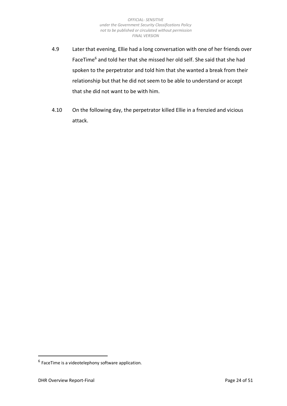- 4.9 Later that evening, Ellie had a long conversation with one of her friends over FaceTime<sup>6</sup> and told her that she missed her old self. She said that she had spoken to the perpetrator and told him that she wanted a break from their relationship but that he did not seem to be able to understand or accept that she did not want to be with him.
- <span id="page-23-0"></span>4.10 On the following day, the perpetrator killed Ellie in a frenzied and vicious attack.

 $<sup>6</sup>$  FaceTime is a videotelephony software application.</sup>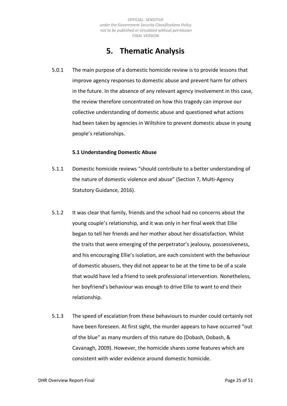# **5. Thematic Analysis**

5.0.1 The main purpose of a domestic homicide review is to provide lessons that improve agency responses to domestic abuse and prevent harm for others in the future. In the absence of any relevant agency involvement in this case, the review therefore concentrated on how this tragedy can improve our collective understanding of domestic abuse and questioned what actions had been taken by agencies in Wiltshire to prevent domestic abuse in young people's relationships.

### **5.1 Understanding Domestic Abuse**

- <span id="page-24-0"></span>5.1.1 Domestic homicide reviews "should contribute to a better understanding of the nature of domestic violence and abuse" (Section 7, Multi-Agency Statutory Guidance, 2016).
- 5.1.2 It was clear that family, friends and the school had no concerns about the young couple's relationship, and it was only in her final week that Ellie began to tell her friends and her mother about her dissatisfaction. Whilst the traits that were emerging of the perpetrator's jealousy, possessiveness, and his encouraging Ellie's isolation, are each consistent with the behaviour of domestic abusers, they did not appear to be at the time to be of a scale that would have led a friend to seek professional intervention. Nonetheless, her boyfriend's behaviour was enough to drive Ellie to want to end their relationship.
- 5.1.3 The speed of escalation from these behaviours to murder could certainly not have been foreseen. At first sight, the murder appears to have occurred "out of the blue" as many murders of this nature do (Dobash, Dobash, & Cavanagh, 2009). However, the homicide shares some features which are consistent with wider evidence around domestic homicide.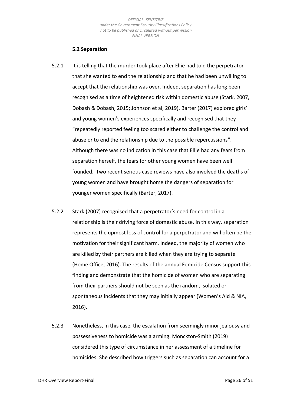### **5.2 Separation**

- <span id="page-25-0"></span>5.2.1 It is telling that the murder took place after Ellie had told the perpetrator that she wanted to end the relationship and that he had been unwilling to accept that the relationship was over. Indeed, separation has long been recognised as a time of heightened risk within domestic abuse (Stark, 2007, Dobash & Dobash, 2015; Johnson et al, 2019). Barter (2017) explored girls' and young women's experiences specifically and recognised that they "repeatedly reported feeling too scared either to challenge the control and abuse or to end the relationship due to the possible repercussions". Although there was no indication in this case that Ellie had any fears from separation herself, the fears for other young women have been well founded. Two recent serious case reviews have also involved the deaths of young women and have brought home the dangers of separation for younger women specifically (Barter, 2017).
- 5.2.2 Stark (2007) recognised that a perpetrator's need for control in a relationship is their driving force of domestic abuse. In this way, separation represents the upmost loss of control for a perpetrator and will often be the motivation for their significant harm. Indeed, the majority of women who are killed by their partners are killed when they are trying to separate (Home Office, 2016). The results of the annual Femicide Census support this finding and demonstrate that the homicide of women who are separating from their partners should not be seen as the random, isolated or spontaneous incidents that they may initially appear (Women's Aid & NIA, 2016).
- 5.2.3 Nonetheless, in this case, the escalation from seemingly minor jealousy and possessiveness to homicide was alarming. Monckton-Smith (2019) considered this type of circumstance in her assessment of a timeline for homicides. She described how triggers such as separation can account for a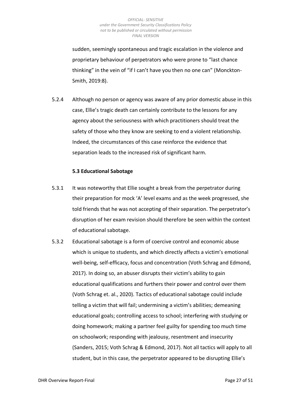sudden, seemingly spontaneous and tragic escalation in the violence and proprietary behaviour of perpetrators who were prone to "last chance thinking" in the vein of "if I can't have you then no one can" (Monckton-Smith, 2019:8).

5.2.4 Although no person or agency was aware of any prior domestic abuse in this case, Ellie's tragic death can certainly contribute to the lessons for any agency about the seriousness with which practitioners should treat the safety of those who they know are seeking to end a violent relationship. Indeed, the circumstances of this case reinforce the evidence that separation leads to the increased risk of significant harm.

### **5.3 Educational Sabotage**

- <span id="page-26-0"></span>5.3.1 It was noteworthy that Ellie sought a break from the perpetrator during their preparation for mock 'A' level exams and as the week progressed, she told friends that he was not accepting of their separation. The perpetrator's disruption of her exam revision should therefore be seen within the context of educational sabotage.
- 5.3.2 Educational sabotage is a form of coercive control and economic abuse which is unique to students, and which directly affects a victim's emotional well-being, self-efficacy, focus and concentration (Voth Schrag and Edmond, 2017). In doing so, an abuser disrupts their victim's ability to gain educational qualifications and furthers their power and control over them (Voth Schrag et. al., 2020). Tactics of educational sabotage could include telling a victim that will fail; undermining a victim's abilities; demeaning educational goals; controlling access to school; interfering with studying or doing homework; making a partner feel guilty for spending too much time on schoolwork; responding with jealousy, resentment and insecurity (Sanders, 2015; Voth Schrag & Edmond, 2017). Not all tactics will apply to all student, but in this case, the perpetrator appeared to be disrupting Ellie's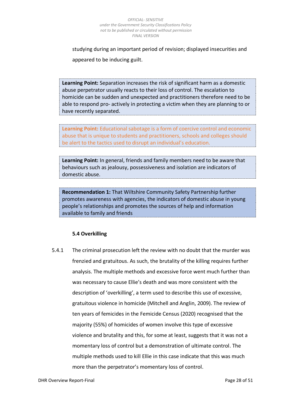studying during an important period of revision; displayed insecurities and appeared to be inducing guilt.

**Learning Point:** Separation increases the risk of significant harm as a domestic abuse perpetrator usually reacts to their loss of control. The escalation to homicide can be sudden and unexpected and practitioners therefore need to be able to respond pro- actively in protecting a victim when they are planning to or have recently separated.

**Learning Point:** Educational sabotage is a form of coercive control and economic abuse that is unique to students and practitioners, schools and colleges should be alert to the tactics used to disrupt an individual's education.

**Learning Point:** In general, friends and family members need to be aware that behaviours such as jealousy, possessiveness and isolation are indicators of domestic abuse.

**Recommendation 1:** That Wiltshire Community Safety Partnership further promotes awareness with agencies, the indicators of domestic abuse in young people's relationships and promotes the sources of help and information available to family and friends

## **5.4 Overkilling**

<span id="page-27-0"></span>5.4.1 The criminal prosecution left the review with no doubt that the murder was frenzied and gratuitous. As such, the brutality of the killing requires further analysis. The multiple methods and excessive force went much further than was necessary to cause Ellie's death and was more consistent with the description of 'overkilling', a term used to describe this use of excessive, gratuitous violence in homicide (Mitchell and Anglin, 2009). The review of ten years of femicides in the Femicide Census (2020) recognised that the majority (55%) of homicides of women involve this type of excessive violence and brutality and this, for some at least, suggests that it was not a momentary loss of control but a demonstration of ultimate control. The multiple methods used to kill Ellie in this case indicate that this was much more than the perpetrator's momentary loss of control.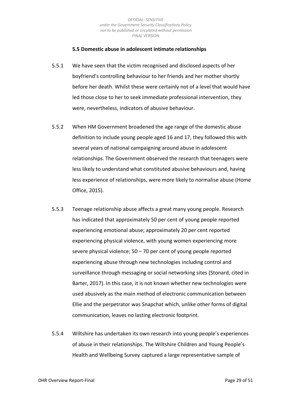### **5.5 Domestic abuse in adolescent intimate relationships**

- <span id="page-28-0"></span>5.5.1 We have seen that the victim recognised and disclosed aspects of her boyfriend's controlling behaviour to her friends and her mother shortly before her death. Whilst these were certainly not of a level that would have led those close to her to seek immediate professional intervention, they were, nevertheless, indicators of abusive behaviour.
- 5.5.2 When HM Government broadened the age range of the domestic abuse definition to include young people aged 16 and 17, they followed this with several years of national campaigning around abuse in adolescent relationships. The Government observed the research that teenagers were less likely to understand what constituted abusive behaviours and, having less experience of relationships, were more likely to normalise abuse (Home Office, 2015).
- 5.5.3 Teenage relationship abuse affects a great many young people. Research has indicated that approximately 50 per cent of young people reported experiencing emotional abuse; approximately 20 per cent reported experiencing physical violence, with young women experiencing more severe physical violence; 50 – 70 per cent of young people reported experiencing abuse through new technologies including control and surveillance through messaging or social networking sites (Stonard, cited in Barter, 2017). In this case, it is not known whether new technologies were used abusively as the main method of electronic communication between Ellie and the perpetrator was Snapchat which, unlike other forms of digital communication, leaves no lasting electronic footprint.
- 5.5.4 Wiltshire has undertaken its own research into young people's experiences of abuse in their relationships. The Wiltshire Children and Young People's Health and Wellbeing Survey captured a large representative sample of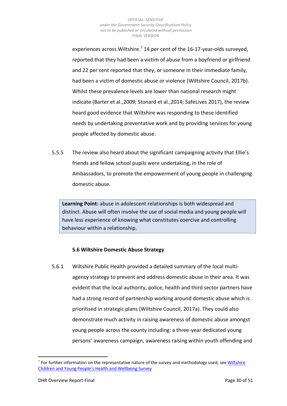experiences across Wiltshire.<sup>7</sup> 14 per cent of the 16-17-year-olds surveyed, reported that they had been a victim of abuse from a boyfriend or girlfriend and 22 per cent reported that they, or someone in their immediate family, had been a victim of domestic abuse or violence (Wiltshire Council, 2017b). Whilst these prevalence levels are lower than national research might indicate (Barter et al.,2009; Stonard et al.,2014; SafeLives 2017), the review heard good evidence that Wiltshire was responding to these identified needs by undertaking preventative work and by providing services for young people affected by domestic abuse.

5.5.5 The review also heard about the significant campaigning activity that Ellie's friends and fellow school pupils were undertaking, in the role of Ambassadors, to promote the empowerment of young people in challenging domestic abuse.

**Learning Point:** abuse in adolescent relationships is both widespread and distinct. Abuse will often involve the use of social media and young people will have less experience of knowing what constitutes coercive and controlling behaviour within a relationship.

## **5.6 Wiltshire Domestic Abuse Strategy**

<span id="page-29-0"></span>5.6.1 Wiltshire Public Health provided a detailed summary of the local multiagency strategy to prevent and address domestic abuse in their area. It was evident that the local authority, police, health and third sector partners have had a strong record of partnership working around domestic abuse which is prioritised in strategic plans (Wiltshire Council, 2017a). They could also demonstrate much activity in raising awareness of domestic abuse amongst young people across the county including: a three-year dedicated young persons' awareness campaign, awareness raising within youth offending and

<sup>&</sup>lt;sup>7</sup> For further information on the representative nature of the survey and methodology used, see **Wiltshire** [Children and Young People's Health and Wellbeing Survey](https://www.wiltshireintelligence.org.uk/wp-content/uploads/2018/08/Community-Safety-School-health-survey-2017.pdf)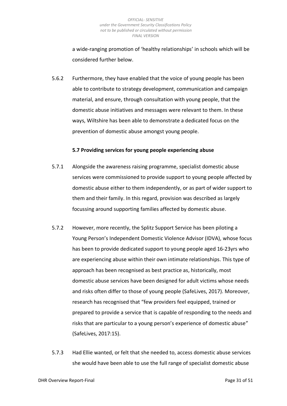a wide-ranging promotion of 'healthy relationships' in schools which will be considered further below.

5.6.2 Furthermore, they have enabled that the voice of young people has been able to contribute to strategy development, communication and campaign material, and ensure, through consultation with young people, that the domestic abuse initiatives and messages were relevant to them. In these ways, Wiltshire has been able to demonstrate a dedicated focus on the prevention of domestic abuse amongst young people.

### **5.7 Providing services for young people experiencing abuse**

- <span id="page-30-0"></span>5.7.1 Alongside the awareness raising programme, specialist domestic abuse services were commissioned to provide support to young people affected by domestic abuse either to them independently, or as part of wider support to them and their family. In this regard, provision was described as largely focussing around supporting families affected by domestic abuse.
- 5.7.2 However, more recently, the Splitz Support Service has been piloting a Young Person's Independent Domestic Violence Advisor (IDVA), whose focus has been to provide dedicated support to young people aged 16-23yrs who are experiencing abuse within their own intimate relationships. This type of approach has been recognised as best practice as, historically, most domestic abuse services have been designed for adult victims whose needs and risks often differ to those of young people (SafeLives, 2017). Moreover, research has recognised that "few providers feel equipped, trained or prepared to provide a service that is capable of responding to the needs and risks that are particular to a young person's experience of domestic abuse" (SafeLives, 2017:15).
- 5.7.3 Had Ellie wanted, or felt that she needed to, access domestic abuse services she would have been able to use the full range of specialist domestic abuse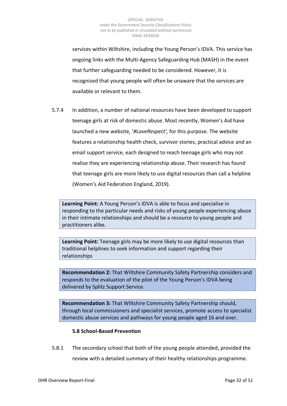services within Wiltshire, including the Young Person's IDVA. This service has ongoing links with the Multi-Agency Safeguarding Hub (MASH) in the event that further safeguarding needed to be considered. However, it is recognised that young people will often be unaware that the services are available or relevant to them.

5.7.4 In addition, a number of national resources have been developed to support teenage girls at risk of domestic abuse. Most recently, Women's Aid have launched a new website, '*#LoveRespect',* for this purpose. The website features a relationship health check, survivor stories, practical advice and an email support service, each designed to reach teenage girls who may not realise they are experiencing relationship abuse. Their research has found that teenage girls are more likely to use digital resources than call a helpline (Women's Aid Federation England, 2019).

**Learning Point:** A Young Person's IDVA is able to focus and specialise in responding to the particular needs and risks of young people experiencing abuse in their intimate relationships and should be a resource to young people and practitioners alike.

**Learning Point:** Teenage girls may be more likely to use digital resources than traditional helplines to seek information and support regarding their relationships

**Recommendation 2:** That Wiltshire Community Safety Partnership considers and responds to the evaluation of the pilot of the Young Person's IDVA being delivered by Splitz Support Service.

**Recommendation 3:** That Wiltshire Community Safety Partnership should, through local commissioners and specialist services, promote access to specialist domestic abuse services and pathways for young people aged 16 and over.

### **5.8 School-Based Prevention**

<span id="page-31-0"></span>5.8.1 The secondary school that both of the young people attended, provided the review with a detailed summary of their healthy relationships programme.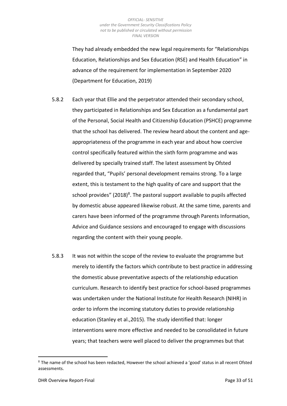They had already embedded the new legal requirements for "Relationships Education, Relationships and Sex Education (RSE) and Health Education" in advance of the requirement for implementation in September 2020 (Department for Education, 2019)

- 5.8.2 Each year that Ellie and the perpetrator attended their secondary school, they participated in Relationships and Sex Education as a fundamental part of the Personal, Social Health and Citizenship Education (PSHCE) programme that the school has delivered. The review heard about the content and ageappropriateness of the programme in each year and about how coercive control specifically featured within the sixth form programme and was delivered by specially trained staff. The latest assessment by Ofsted regarded that, "Pupils' personal development remains strong. To a large extent, this is testament to the high quality of care and support that the school provides" (2018)<sup>8</sup>. The pastoral support available to pupils affected by domestic abuse appeared likewise robust. At the same time, parents and carers have been informed of the programme through Parents Information, Advice and Guidance sessions and encouraged to engage with discussions regarding the content with their young people.
- 5.8.3 It was not within the scope of the review to evaluate the programme but merely to identify the factors which contribute to best practice in addressing the domestic abuse preventative aspects of the relationship education curriculum. Research to identify best practice for school-based programmes was undertaken under the National Institute for Health Research (NIHR) in order to inform the incoming statutory duties to provide relationship education (Stanley et al.,2015). The study identified that: longer interventions were more effective and needed to be consolidated in future years; that teachers were well placed to deliver the programmes but that

 $8$  The name of the school has been redacted. However the school achieved a 'good' status in all recent Ofsted assessments.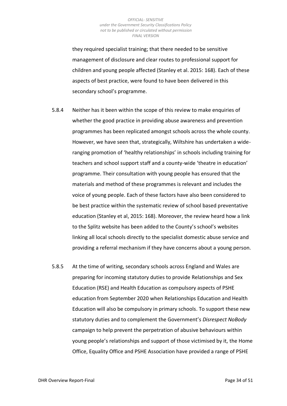they required specialist training; that there needed to be sensitive management of disclosure and clear routes to professional support for children and young people affected (Stanley et al. 2015: 168). Each of these aspects of best practice, were found to have been delivered in this secondary school's programme.

- 5.8.4 Neither has it been within the scope of this review to make enquiries of whether the good practice in providing abuse awareness and prevention programmes has been replicated amongst schools across the whole county. However, we have seen that, strategically, Wiltshire has undertaken a wideranging promotion of 'healthy relationships' in schools including training for teachers and school support staff and a county-wide 'theatre in education' programme. Their consultation with young people has ensured that the materials and method of these programmes is relevant and includes the voice of young people. Each of these factors have also been considered to be best practice within the systematic review of school based preventative education (Stanley et al, 2015: 168). Moreover, the review heard how a link to the Splitz website has been added to the County's school's websites linking all local schools directly to the specialist domestic abuse service and providing a referral mechanism if they have concerns about a young person.
- 5.8.5 At the time of writing, secondary schools across England and Wales are preparing for incoming statutory duties to provide Relationships and Sex Education (RSE) and Health Education as compulsory aspects of PSHE education from September 2020 when Relationships Education and Health Education will also be compulsory in primary schools. To support these new statutory duties and to complement the Government's *Disrespect NoBody* campaign to help prevent the perpetration of abusive behaviours within young people's relationships and support of those victimised by it, the Home Office, Equality Office and PSHE Association have provided a range of PSHE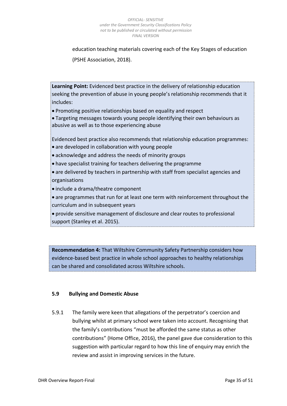education teaching materials covering each of the Key Stages of education (PSHE Association, 2018).

**Learning Point:** Evidenced best practice in the delivery of relationship education seeking the prevention of abuse in young people's relationship recommends that it includes:

• Promoting positive relationships based on equality and respect

• Targeting messages towards young people identifying their own behaviours as abusive as well as to those experiencing abuse

Evidenced best practice also recommends that relationship education programmes: • are developed in collaboration with young people

- acknowledge and address the needs of minority groups
- have specialist training for teachers delivering the programme
- are delivered by teachers in partnership with staff from specialist agencies and organisations
- include a drama/theatre component
- are programmes that run for at least one term with reinforcement throughout the curriculum and in subsequent years

• provide sensitive management of disclosure and clear routes to professional support (Stanley et al. 2015).

**Recommendation 4:** That Wiltshire Community Safety Partnership considers how evidence-based best practice in whole school approaches to healthy relationships can be shared and consolidated across Wiltshire schools.

## **5.9 Bullying and Domestic Abuse**

5.9.1 The family were keen that allegations of the perpetrator's coercion and bullying whilst at primary school were taken into account. Recognising that the family's contributions "must be afforded the same status as other contributions" (Home Office, 2016), the panel gave due consideration to this suggestion with particular regard to how this line of enquiry may enrich the review and assist in improving services in the future.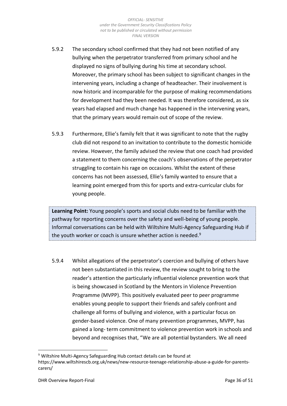- 5.9.2 The secondary school confirmed that they had not been notified of any bullying when the perpetrator transferred from primary school and he displayed no signs of bullying during his time at secondary school. Moreover, the primary school has been subject to significant changes in the intervening years, including a change of headteacher. Their involvement is now historic and incomparable for the purpose of making recommendations for development had they been needed. It was therefore considered, as six years had elapsed and much change has happened in the intervening years, that the primary years would remain out of scope of the review.
- 5.9.3 Furthermore, Ellie's family felt that it was significant to note that the rugby club did not respond to an invitation to contribute to the domestic homicide review. However, the family advised the review that one coach had provided a statement to them concerning the coach's observations of the perpetrator struggling to contain his rage on occasions. Whilst the extent of these concerns has not been assessed, Ellie's family wanted to ensure that a learning point emerged from this for sports and extra-curricular clubs for young people.

**Learning Point:** Young people's sports and social clubs need to be familiar with the pathway for reporting concerns over the safety and well-being of young people. Informal conversations can be held with Wiltshire Multi-Agency Safeguarding Hub if the youth worker or coach is unsure whether action is needed.<sup>9</sup>

5.9.4 Whilst allegations of the perpetrator's coercion and bullying of others have not been substantiated in this review, the review sought to bring to the reader's attention the particularly influential violence prevention work that is being showcased in Scotland by the Mentors in Violence Prevention Programme (MVPP). This positively evaluated peer to peer programme enables young people to support their friends and safely confront and challenge all forms of bullying and violence, with a particular focus on gender-based violence. One of many prevention programmes, MVPP, has gained a long- term commitment to violence prevention work in schools and beyond and recognises that, "We are all potential bystanders. We all need

<sup>&</sup>lt;sup>9</sup> Wiltshire Multi-Agency Safeguarding Hub contact details can be found at https://www.wiltshirescb.org.uk/news/new-resource-teenage-relationship-abuse-a-guide-for-parentscarers/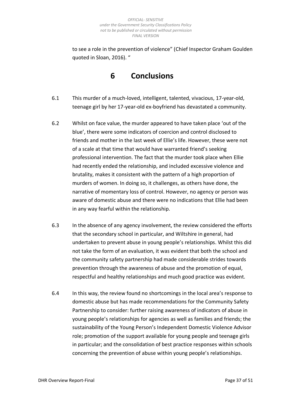to see a role in the prevention of violence" (Chief Inspector Graham Goulden quoted in Sloan, 2016). "

**6 Conclusions**

- <span id="page-36-0"></span>6.1 This murder of a much-loved, intelligent, talented, vivacious, 17-year-old, teenage girl by her 17-year-old ex-boyfriend has devastated a community.
- 6.2 Whilst on face value, the murder appeared to have taken place 'out of the blue', there were some indicators of coercion and control disclosed to friends and mother in the last week of Ellie's life. However, these were not of a scale at that time that would have warranted friend's seeking professional intervention. The fact that the murder took place when Ellie had recently ended the relationship, and included excessive violence and brutality, makes it consistent with the pattern of a high proportion of murders of women. In doing so, it challenges, as others have done, the narrative of momentary loss of control. However, no agency or person was aware of domestic abuse and there were no indications that Ellie had been in any way fearful within the relationship.
- 6.3 In the absence of any agency involvement, the review considered the efforts that the secondary school in particular, and Wiltshire in general, had undertaken to prevent abuse in young people's relationships. Whilst this did not take the form of an evaluation, it was evident that both the school and the community safety partnership had made considerable strides towards prevention through the awareness of abuse and the promotion of equal, respectful and healthy relationships and much good practice was evident.
- 6.4 In this way, the review found no shortcomings in the local area's response to domestic abuse but has made recommendations for the Community Safety Partnership to consider: further raising awareness of indicators of abuse in young people's relationships for agencies as well as families and friends; the sustainability of the Young Person's Independent Domestic Violence Advisor role; promotion of the support available for young people and teenage girls in particular; and the consolidation of best practice responses within schools concerning the prevention of abuse within young people's relationships.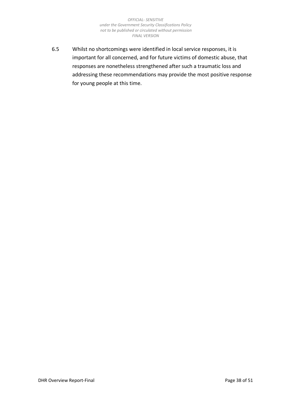6.5 Whilst no shortcomings were identified in local service responses, it is important for all concerned, and for future victims of domestic abuse, that responses are nonetheless strengthened after such a traumatic loss and addressing these recommendations may provide the most positive response for young people at this time.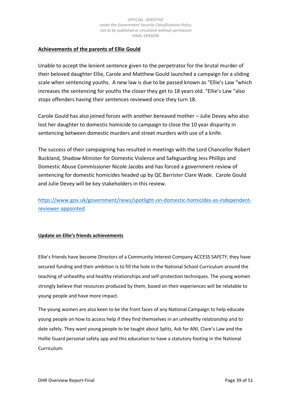# **Achievements of the parents of Ellie Gould**

Unable to accept the lenient sentence given to the perpetrator for the brutal murder of their beloved daughter Ellie, Carole and Matthew Gould launched a campaign for a sliding scale when sentencing youths. A new law is due to be passed known as "Ellie's Law "which increases the sentencing for youths the closer they get to 18 years old. "Ellie's Law "also stops offenders having their sentences reviewed once they turn 18.

Carole Gould has also joined forces with another bereaved mother – Julie Devey who also lost her daughter to domestic homicide to campaign to close the 10 year disparity in sentencing between domestic murders and street murders with use of a knife.

The success of their campaigning has resulted in meetings with the Lord Chancellor Robert Buckland, Shadow Minister for Domestic Violence and Safeguarding Jess Phillips and Domestic Abuse Commissioner Nicole Jacobs and has forced a government review of sentencing for domestic homicides headed up by QC Barrister Clare Wade. Carole Gould and Julie Devey will be key stakeholders in this review.

[https://www.gov.uk/government/news/spotlight-on-domestic-homicides-as-independent](https://www.gov.uk/government/news/spotlight-on-domestic-homicides-as-independent-reviewer-appointed)[reviewer-appointed](https://www.gov.uk/government/news/spotlight-on-domestic-homicides-as-independent-reviewer-appointed)

## **Update on Ellie's friends achievements**

Ellie's friends have become Directors of a Community Interest Company ACCESS SAFETY, they have secured funding and their ambition is to fill the hole in the National School Curriculum around the teaching of unhealthy and healthy relationships and self-protection techniques. The young women strongly believe that resources produced by them, based on their experiences will be relatable to young people and have more impact.

The young women are also keen to be the front faces of any National Campaign to help educate young people on how to access help if they find themselves in an unhealthy relationship and to date safely. They want young people to be taught about Splitz, Ask for ANI, Clare's Law and the Hollie Guard personal safety app and this education to have a statutory footing in the National Curriculum.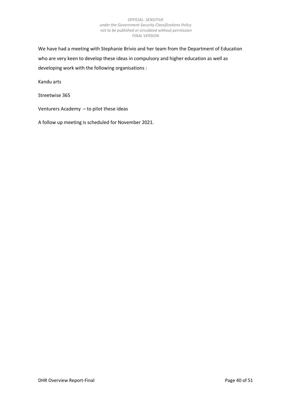We have had a meeting with Stephanie Brivio and her team from the Department of Education who are very keen to develop these ideas in compulsory and higher education as well as developing work with the following organisations :

Kandu arts

Streetwise 365

Venturers Academy – to pilot these ideas

A follow up meeting is scheduled for November 2021.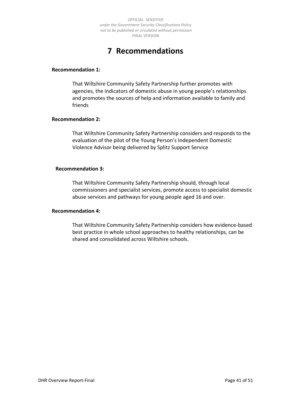# **7 Recommendations**

### <span id="page-40-0"></span>**Recommendation 1:**

That Wiltshire Community Safety Partnership further promotes with agencies, the indicators of domestic abuse in young people's relationships and promotes the sources of help and information available to family and friends

### **Recommendation 2:**

That Wiltshire Community Safety Partnership considers and responds to the evaluation of the pilot of the Young Person's Independent Domestic Violence Advisor being delivered by Splitz Support Service

### **Recommendation 3:**

That Wiltshire Community Safety Partnership should, through local commissioners and specialist services, promote access to specialist domestic abuse services and pathways for young people aged 16 and over.

### **Recommendation 4:**

That Wiltshire Community Safety Partnership considers how evidence-based best practice in whole school approaches to healthy relationships, can be shared and consolidated across Wiltshire schools.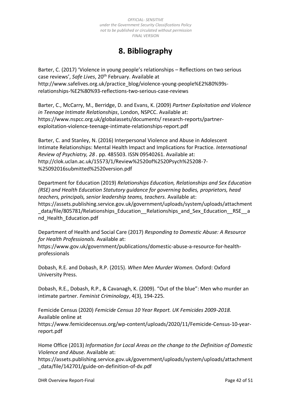# **8. Bibliography**

<span id="page-41-0"></span>Barter, C. (2017) 'Violence in young people's relationships – Reflections on two serious case reviews', *Safe Lives*, 20th February. Available at http://www.safelives.org.uk/practice\_blog/violence-young-people%E2%80%99srelationships-%E2%80%93-reflections-two-serious-case-reviews

Barter, C., McCarry, M., Berridge, D. and Evans, K. (2009) *Partner Exploitation and Violence in Teenage Intimate Relationships*, London, NSPCC. Available at: https://www.nspcc.org.uk/globalassets/documents/ research-reports/partnerexploitation-violence-teenage-intimate-relationships-report.pdf

Barter, C. and Stanley, N. (2016) Interpersonal Violence and Abuse in Adolescent Intimate Relationships: Mental Health Impact and Implications for Practice. *International Review of Psychiatry, 28 .* pp. 485503. ISSN 09540261. Available at: http://clok.uclan.ac.uk/15573/1/Review%2520of%2520Psych%25208-7- %25092016submitted%2520version.pdf

Department for Education (2019) *Relationships Education, Relationships and Sex Education (RSE) and Health Education Statutory guidance for governing bodies, proprietors, head teachers, principals, senior leadership teams, teachers.* Available at: https://assets.publishing.service.gov.uk/government/uploads/system/uploads/attachment data/file/805781/Relationships\_Education\_\_Relationships\_and\_Sex\_Education\_\_RSE\_\_a nd\_Health\_Education.pdf

Department of Health and Social Care (2017) *Responding to Domestic Abuse: A Resource for Health Professionals.* Available at:

https://www.gov.uk/government/publications/domestic-abuse-a-resource-for-healthprofessionals

Dobash, R.E. and Dobash, R.P. (2015). *When Men Murder Women.* Oxford: Oxford University Press.

Dobash, R.E., Dobash, R.P., & Cavanagh, K. (2009). "Out of the blue": Men who murder an intimate partner. *Feminist Criminology*, 4(3), 194-225.

Femicide Census (2020) *Femicide Census 10 Year Report. UK Femicides 2009-2018.* Available online at https://www.femicidecensus.org/wp-content/uploads/2020/11/Femicide-Census-10-yearreport.pdf

Home Office (2013) *Information for Local Areas on the change to the Definition of Domestic Violence and Abuse.* Available at:

https://assets.publishing.service.gov.uk/government/uploads/system/uploads/attachment \_data/file/142701/guide-on-definition-of-dv.pdf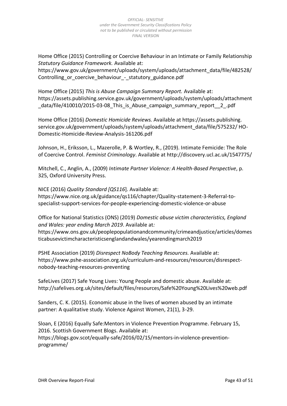Home Office (2015) Controlling or Coercive Behaviour in an Intimate or Family Relationship *Statutory Guidance Framework.* Available at:

https://www.gov.uk/government/uploads/system/uploads/attachment\_data/file/482528/ Controlling or coercive behaviour - statutory guidance.pdf

Home Office (2015) *This is Abuse Campaign Summary Report.* Available at: https://assets.publishing.service.gov.uk/government/uploads/system/uploads/attachment \_data/file/410010/2015-03-08\_This\_is\_Abuse\_campaign\_summary\_report\_\_2\_.pdf

Home Office (2016) *Domestic Homicide Reviews.* Available at https://assets.publishing. service.gov.uk/government/uploads/system/uploads/attachment\_data/file/575232/ HO-Domestic-Homicide-Review-Analysis-161206.pdf

Johnson, H., Eriksson, L., Mazerolle, P. & Wortley, R., (2019). Intimate Femicide: The Role of Coercive Control. *Feminist Criminology*. Available at http://discovery.ucl.ac.uk/1547775/

Mitchell, C., Anglin, A., (2009) *Intimate Partner Violence: A Health-Based Perspective*, p. 325, Oxford University Press.

NICE (2016) *Quality Standard [QS116*]. Available at: https://www.nice.org.uk/guidance/qs116/chapter/Quality-statement-3-Referral-tospecialist-support-services-for-people-experiencing-domestic-violence-or-abuse

Office for National Statistics (ONS) (2019) *Domestic abuse victim characteristics, England and Wales: year ending March 2019*. Available at*:* https://www.ons.gov.uk/peoplepopulationandcommunity/crimeandjustice/articles/domes ticabusevictimcharacteristicsenglandandwales/yearendingmarch2019

PSHE Association (2019) *Disrespect NoBody Teaching Resources.* Available at: https://www.pshe-association.org.uk/curriculum-and-resources/resources/disrespectnobody-teaching-resources-preventing

SafeLives (2017) Safe Young Lives: Young People and domestic abuse. Available at: http://safelives.org.uk/sites/default/files/resources/Safe%20Young%20Lives%20web.pdf

Sanders, C. K. (2015). Economic abuse in the lives of women abused by an intimate partner: A qualitative study. Violence Against Women, 21(1), 3-29.

Sloan, E (2016) Equally Safe:Mentors in Violence Prevention Programme. February 15, 2016. Scottish Government Blogs. Available at: https://blogs.gov.scot/equally-safe/2016/02/15/mentors-in-violence-preventionprogramme/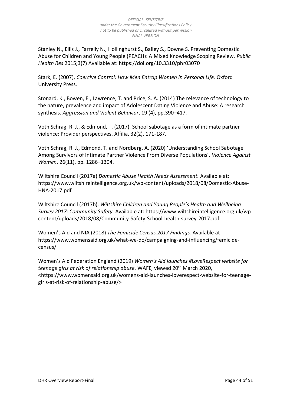Stanley N., Ellis J., Farrelly N., Hollinghurst S., Bailey S., Downe S. Preventing Domestic Abuse for Children and Young People (PEACH): A Mixed Knowledge Scoping Review. *Public Health Res* 2015;3(7) Available at: https://doi.org/10.3310/phr03070

Stark, E. (2007), *Coercive Control: How Men Entrap Women in Personal Life.* Oxford University Press.

Stonard, K., Bowen, E., Lawrence, T. and Price, S. A. (2014) The relevance of technology to the nature, prevalence and impact of Adolescent Dating Violence and Abuse: A research synthesis. *Aggression and Violent Behavior*, 19 (4), pp.390–417.

Voth Schrag, R. J., & Edmond, T. (2017). School sabotage as a form of intimate partner violence: Provider perspectives. Affilia, 32(2), 171-187.

Voth Schrag, R. J., Edmond, T. and Nordberg, A. (2020) 'Understanding School Sabotage Among Survivors of Intimate Partner Violence From Diverse Populations', *Violence Against Women*, 26(11), pp. 1286–1304.

Wiltshire Council (2017a) *Domestic Abuse Health Needs Assessment.* Available at: https://www.wiltshireintelligence.org.uk/wp-content/uploads/2018/08/Domestic-Abuse-HNA-2017.pdf

Wiltshire Council (2017b). *Wiltshire Children and Young People's Health and Wellbeing Survey 2017: Community Safety.* Available at: https://www.wiltshireintelligence.org.uk/wpcontent/uploads/2018/08/Community-Safety-School-health-survey-2017.pdf

Women's Aid and NIA (2018) *The Femicide Census.2017 Findings.* Available at https://www.womensaid.org.uk/what-we-do/campaigning-and-influencing/femicidecensus/

Women's Aid Federation England (2019) *Women's Aid launches #LoveRespect website for teenage girls at risk of relationship abuse.* WAFE, viewed 20th March 2020, <https://www.womensaid.org.uk/womens-aid-launches-loverespect-website-for-teenagegirls-at-risk-of-relationship-abuse/>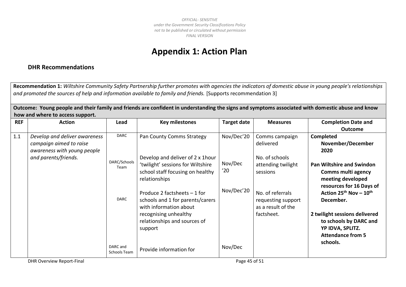# **Appendix 1: Action Plan**

# **DHR Recommendations**

**Recommendation 1:** *Wiltshire Community Safety Partnership further promotes with agencies the indicators of domestic abuse in young people's relationships*  and promoted the sources of help and information available to family and friends. [Supports recommendation 3]

**Outcome: Young people and their family and friends are confident in understanding the signs and symptoms associated with domestic abuse and know how and where to access support.**

<span id="page-44-0"></span>

| <b>REF</b> | <b>Action</b>                 | Lead                     | <b>Key milestones</b>             | <b>Target date</b> | <b>Measures</b>    | <b>Completion Date and</b>       |
|------------|-------------------------------|--------------------------|-----------------------------------|--------------------|--------------------|----------------------------------|
|            |                               |                          |                                   |                    |                    | <b>Outcome</b>                   |
| 1.1        | Develop and deliver awareness | DARC                     | Pan County Comms Strategy         | Nov/Dec'20         | Comms campaign     | <b>Completed</b>                 |
|            | campaign aimed to raise       |                          |                                   |                    | delivered          | November/December                |
|            | awareness with young people   |                          |                                   |                    |                    | 2020                             |
|            | and parents/friends.          |                          | Develop and deliver of 2 x 1 hour |                    | No. of schools     |                                  |
|            |                               | DARC/Schools<br>Team     | 'twilight' sessions for Wiltshire | Nov/Dec            | attending twilight | <b>Pan Wiltshire and Swindon</b> |
|            |                               |                          | school staff focusing on healthy  | '20                | sessions           | Comms multi agency               |
|            |                               |                          | relationships                     |                    |                    | meeting developed                |
|            |                               |                          |                                   |                    |                    | resources for 16 Days of         |
|            |                               |                          | Produce 2 factsheets $-1$ for     | Nov/Dec'20         | No. of referrals   | Action $25^{th}$ Nov - $10^{th}$ |
|            |                               | <b>DARC</b>              | schools and 1 for parents/carers  |                    | requesting support | December.                        |
|            |                               |                          | with information about            |                    | as a result of the |                                  |
|            |                               |                          | recognising unhealthy             |                    | factsheet.         | 2 twilight sessions delivered    |
|            |                               |                          | relationships and sources of      |                    |                    | to schools by DARC and           |
|            |                               |                          | support                           |                    |                    | YP IDVA, SPLITZ.                 |
|            |                               |                          |                                   |                    |                    | <b>Attendance from 5</b>         |
|            |                               | DARC and<br>Schools Team | Provide information for           | Nov/Dec            |                    | schools.                         |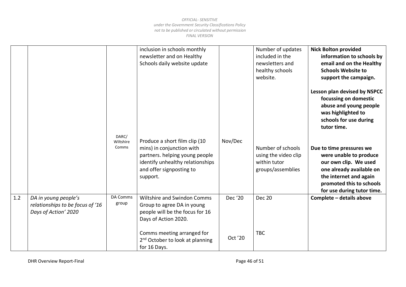|     |                                                                                  |                             | inclusion in schools monthly<br>newsletter and on Healthy<br>Schools daily website update                                                                                |         | Number of updates<br>included in the<br>newsletters and<br>healthy schools<br>website. | <b>Nick Bolton provided</b><br>information to schools by<br>email and on the Healthy<br><b>Schools Website to</b><br>support the campaign.                                                  |
|-----|----------------------------------------------------------------------------------|-----------------------------|--------------------------------------------------------------------------------------------------------------------------------------------------------------------------|---------|----------------------------------------------------------------------------------------|---------------------------------------------------------------------------------------------------------------------------------------------------------------------------------------------|
|     |                                                                                  |                             |                                                                                                                                                                          |         |                                                                                        | Lesson plan devised by NSPCC<br>focussing on domestic<br>abuse and young people<br>was highlighted to<br>schools for use during<br>tutor time.                                              |
|     |                                                                                  | DARC/<br>Wiltshire<br>Comms | Produce a short film clip (10<br>mins) in conjunction with<br>partners. helping young people<br>identify unhealthy relationships<br>and offer signposting to<br>support. | Nov/Dec | Number of schools<br>using the video clip<br>within tutor<br>groups/assemblies         | Due to time pressures we<br>were unable to produce<br>our own clip. We used<br>one already available on<br>the internet and again<br>promoted this to schools<br>for use during tutor time. |
| 1.2 | DA in young people's<br>relationships to be focus of '16<br>Days of Action' 2020 | DA Comms<br>group           | <b>Wiltshire and Swindon Comms</b><br>Group to agree DA in young<br>people will be the focus for 16<br>Days of Action 2020.                                              | Dec '20 | <b>Dec 20</b>                                                                          | Complete - details above                                                                                                                                                                    |
|     |                                                                                  |                             | Comms meeting arranged for<br>2 <sup>nd</sup> October to look at planning<br>for 16 Days.                                                                                | Oct '20 | <b>TBC</b>                                                                             |                                                                                                                                                                                             |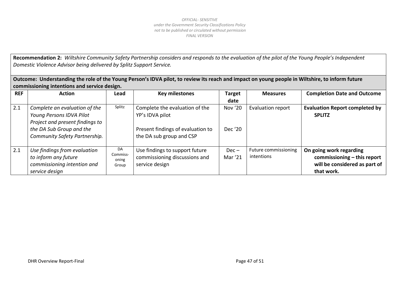**Recommendation 2:** *Wiltshire Community Safety Partnership considers and responds to the evaluation of the pilot of the Young People's Independent Domestic Violence Advisor being delivered by Splitz Support Service.*

**Outcome: Understanding the role of the Young Person's IDVA pilot, to review its reach and impact on young people in Wiltshire, to inform future commissioning intentions and service design.**

| <b>REF</b> | <b>Action</b>                                                                                                                                             | Lead                             | <b>Key milestones</b>                                                                                              | <b>Target</b>      | <b>Measures</b>                    | <b>Completion Date and Outcome</b>                                                                    |
|------------|-----------------------------------------------------------------------------------------------------------------------------------------------------------|----------------------------------|--------------------------------------------------------------------------------------------------------------------|--------------------|------------------------------------|-------------------------------------------------------------------------------------------------------|
|            |                                                                                                                                                           |                                  |                                                                                                                    | date               |                                    |                                                                                                       |
| 2.1        | Complete an evaluation of the<br>Young Persons IDVA Pilot<br>Project and present findings to<br>the DA Sub Group and the<br>Community Safety Partnership. | Splitz                           | Complete the evaluation of the<br>YP's IDVA pilot<br>Present findings of evaluation to<br>the DA sub group and CSP | Nov '20<br>Dec '20 | Evaluation report                  | <b>Evaluation Report completed by</b><br><b>SPLITZ</b>                                                |
| 2.1        | Use findings from evaluation<br>to inform any future<br>commissioning intention and<br>service design                                                     | DA<br>Commiss-<br>oning<br>Group | Use findings to support future<br>commissioning discussions and<br>service design                                  | $Dec -$<br>Mar '21 | Future commissioning<br>intentions | On going work regarding<br>commissioning - this report<br>will be considered as part of<br>that work. |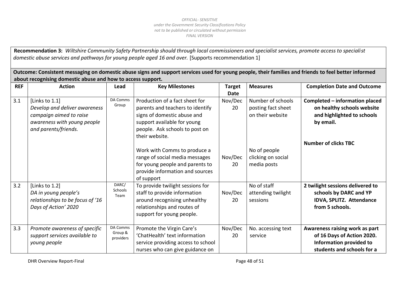**Recommendation 3:** *Wiltshire Community Safety Partnership should through local commissioners and specialist services, promote access to specialist domestic abuse services and pathways for young people aged 16 and over.* [Supports recommendation 1]

**Outcome: Consistent messaging on domestic abuse signs and support services used for young people, their families and friends to feel better informed about recognising domestic abuse and how to access support.**

| <b>REF</b> | <b>Action</b>                                                                                                                     | Lead                             | <b>Key Milestones</b>                                                                                                                                                                | <b>Target</b><br><b>Date</b> | <b>Measures</b>                                             | <b>Completion Date and Outcome</b>                                                                                           |
|------------|-----------------------------------------------------------------------------------------------------------------------------------|----------------------------------|--------------------------------------------------------------------------------------------------------------------------------------------------------------------------------------|------------------------------|-------------------------------------------------------------|------------------------------------------------------------------------------------------------------------------------------|
| 3.1        | [Links to 1.1]<br>Develop and deliver awareness<br>campaign aimed to raise<br>awareness with young people<br>and parents/friends. | DA Comms<br>Group                | Production of a fact sheet for<br>parents and teachers to identify<br>signs of domestic abuse and<br>support available for young<br>people. Ask schools to post on<br>their website. | Nov/Dec<br>20                | Number of schools<br>posting fact sheet<br>on their website | Completed - information placed<br>on healthy schools website<br>and highlighted to schools<br>by email.                      |
|            |                                                                                                                                   |                                  | Work with Comms to produce a<br>range of social media messages<br>for young people and parents to<br>provide information and sources<br>of support                                   | Nov/Dec<br>20                | No of people<br>clicking on social<br>media posts           | <b>Number of clicks TBC</b>                                                                                                  |
| 3.2        | [Links to 1.2]<br>DA in young people's<br>relationships to be focus of '16<br>Days of Action' 2020                                | DARC/<br>Schools<br>Team         | To provide twilight sessions for<br>staff to provide information<br>around recognising unhealthy<br>relationships and routes of<br>support for young people.                         | Nov/Dec<br>20                | No of staff<br>attending twilight<br>sessions               | 2 twilight sessions delivered to<br>schools by DARC and YP<br>IDVA, SPLITZ. Attendance<br>from 5 schools.                    |
| 3.3        | Promote awareness of specific<br>support services available to<br>young people                                                    | DA Comms<br>Group &<br>providers | Promote the Virgin Care's<br>'ChatHealth' text information<br>service providing access to school<br>nurses who can give guidance on                                                  | Nov/Dec<br>20                | No. accessing text<br>service                               | Awareness raising work as part<br>of 16 Days of Action 2020.<br><b>Information provided to</b><br>students and schools for a |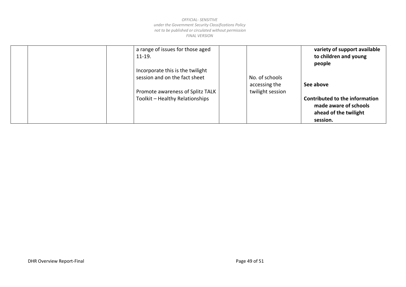|  | a range of issues for those aged<br>$11-19.$ |                  | variety of support available<br>to children and young<br>people |
|--|----------------------------------------------|------------------|-----------------------------------------------------------------|
|  | Incorporate this is the twilight             |                  |                                                                 |
|  | session and on the fact sheet                | No. of schools   |                                                                 |
|  |                                              | accessing the    | See above                                                       |
|  | Promote awareness of Splitz TALK             | twilight session |                                                                 |
|  | Toolkit - Healthy Relationships              |                  | <b>Contributed to the information</b>                           |
|  |                                              |                  | made aware of schools                                           |
|  |                                              |                  | ahead of the twilight                                           |
|  |                                              |                  | session.                                                        |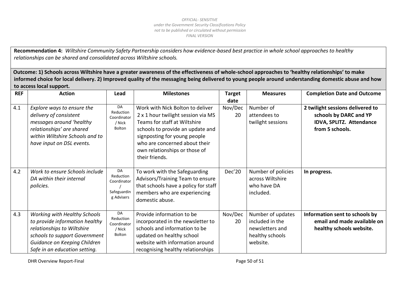**Recommendation 4:** *Wiltshire Community Safety Partnership considers how evidence-based best practice in whole school approaches to healthy relationships can be shared and consolidated across Wiltshire schools.*

**Outcome: 1) Schools across Wiltshire have a greater awareness of the effectiveness of whole-school approaches to 'healthy relationships' to make informed choice for local delivery. 2) Improved quality of the messaging being delivered to young people around understanding domestic abuse and how to access local support.** 

| <b>REF</b> | <b>Action</b>                                                                                                                                                                                         | Lead                                                        | <b>Milestones</b>                                                                                                                                                                                                                                              | <b>Target</b> | <b>Measures</b>                                                                        | <b>Completion Date and Outcome</b>                                                                        |
|------------|-------------------------------------------------------------------------------------------------------------------------------------------------------------------------------------------------------|-------------------------------------------------------------|----------------------------------------------------------------------------------------------------------------------------------------------------------------------------------------------------------------------------------------------------------------|---------------|----------------------------------------------------------------------------------------|-----------------------------------------------------------------------------------------------------------|
|            |                                                                                                                                                                                                       |                                                             |                                                                                                                                                                                                                                                                | date          |                                                                                        |                                                                                                           |
| 4.1        | Explore ways to ensure the<br>delivery of consistent<br>messages around 'healthy<br>relationships' are shared<br>within Wiltshire Schools and to<br>have input on DSL events.                         | DA<br>Reduction<br>Coordinator<br>/ Nick<br>Bolton          | Work with Nick Bolton to deliver<br>2 x 1 hour twilight session via MS<br>Teams for staff at Wiltshire<br>schools to provide an update and<br>signposting for young people<br>who are concerned about their<br>own relationships or those of<br>their friends. | Nov/Dec<br>20 | Number of<br>attendees to<br>twilight sessions                                         | 2 twilight sessions delivered to<br>schools by DARC and YP<br>IDVA, SPLITZ. Attendance<br>from 5 schools. |
| 4.2        | Work to ensure Schools include<br>DA within their internal<br>policies.                                                                                                                               | DA<br>Reduction<br>Coordinator<br>Safeguardin<br>g Advisers | To work with the Safeguarding<br>Advisors/Training Team to ensure<br>that schools have a policy for staff<br>members who are experiencing<br>domestic abuse.                                                                                                   | Dec'20        | Number of policies<br>across Wiltshire<br>who have DA<br>included.                     | In progress.                                                                                              |
| 4.3        | <b>Working with Healthy Schools</b><br>to provide information healthy<br>relationships to Wiltshire<br>schools to support Government<br>Guidance on Keeping Children<br>Safe in an education setting. | DA<br>Reduction<br>Coordinator<br>/ Nick<br>Bolton          | Provide information to be<br>incorporated in the newsletter to<br>schools and information to be<br>updated on healthy school<br>website with information around<br>recognising healthy relationships                                                           | Nov/Dec<br>20 | Number of updates<br>included in the<br>newsletters and<br>healthy schools<br>website. | Information sent to schools by<br>email and made available on<br>healthy schools website.                 |